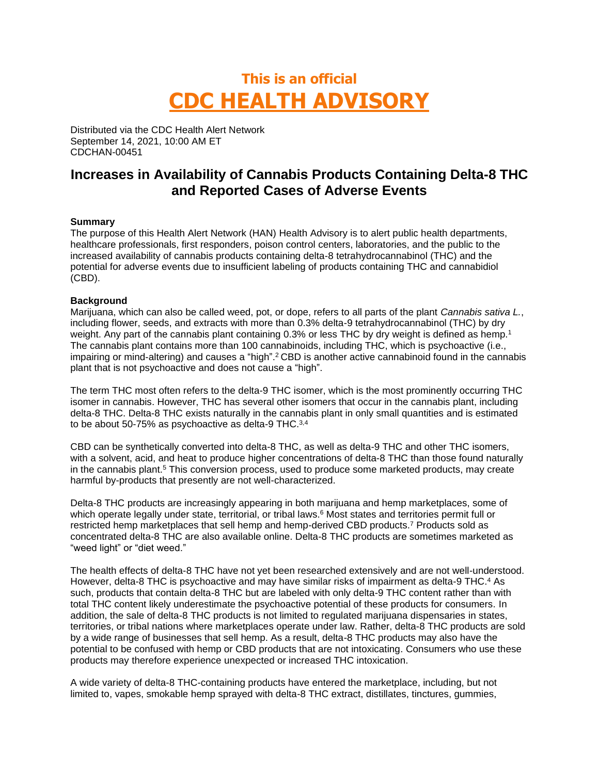# **This is an official CDC HEALTH ADVISORY**

Distributed via the CDC Health Alert Network September 14, 2021, 10:00 AM ET CDCHAN-00451

# **Increases in Availability of Cannabis Products Containing Delta-8 THC and Reported Cases of Adverse Events**

## **Summary**

The purpose of this Health Alert Network (HAN) Health Advisory is to alert public health departments, healthcare professionals, first responders, poison control centers, laboratories, and the public to the increased availability of cannabis products containing delta-8 tetrahydrocannabinol (THC) and the potential for adverse events due to insufficient labeling of products containing THC and cannabidiol (CBD).

## **Background**

Marijuana, which can also be called weed, pot, or dope, refers to all parts of the plant *Cannabis sativa L.*, including flower, seeds, and extracts with more than 0.3% delta-9 tetrahydrocannabinol (THC) by dry weight. Any part of the cannabis plant containing 0.3% or less THC by dry weight is defined as hemp.<sup>1</sup> The cannabis plant contains more than 100 cannabinoids, including THC, which is psychoactive (i.e., impairing or mind-altering) and causes a "high".<sup>2</sup> CBD is another active cannabinoid found in the cannabis plant that is not psychoactive and does not cause a "high".

The term THC most often refers to the delta-9 THC isomer, which is the most prominently occurring THC isomer in cannabis. However, THC has several other isomers that occur in the cannabis plant, including delta-8 THC. Delta-8 THC exists naturally in the cannabis plant in only small quantities and is estimated to be about 50-75% as psychoactive as delta-9 THC.3,4

CBD can be synthetically converted into delta-8 THC, as well as delta-9 THC and other THC isomers, with a solvent, acid, and heat to produce higher concentrations of delta-8 THC than those found naturally in the cannabis plant.<sup>5</sup> This conversion process, used to produce some marketed products, may create harmful by-products that presently are not well-characterized.

Delta-8 THC products are increasingly appearing in both marijuana and hemp marketplaces, some of which operate legally under state, territorial, or tribal laws.<sup>6</sup> Most states and territories permit full or restricted hemp marketplaces that sell hemp and hemp-derived CBD products.<sup>7</sup> Products sold as concentrated delta-8 THC are also available online. Delta-8 THC products are sometimes marketed as "weed light" or "diet weed."

The health effects of delta-8 THC have not yet been researched extensively and are not well-understood. However, delta-8 THC is psychoactive and may have similar risks of impairment as delta-9 THC.<sup>4</sup> As such, products that contain delta-8 THC but are labeled with only delta-9 THC content rather than with total THC content likely underestimate the psychoactive potential of these products for consumers. In addition, the sale of delta-8 THC products is not limited to regulated marijuana dispensaries in states, territories, or tribal nations where marketplaces operate under law. Rather, delta-8 THC products are sold by a wide range of businesses that sell hemp. As a result, delta-8 THC products may also have the potential to be confused with hemp or CBD products that are not intoxicating. Consumers who use these products may therefore experience unexpected or increased THC intoxication.

A wide variety of delta-8 THC-containing products have entered the marketplace, including, but not limited to, vapes, smokable hemp sprayed with delta-8 THC extract, distillates, tinctures, gummies,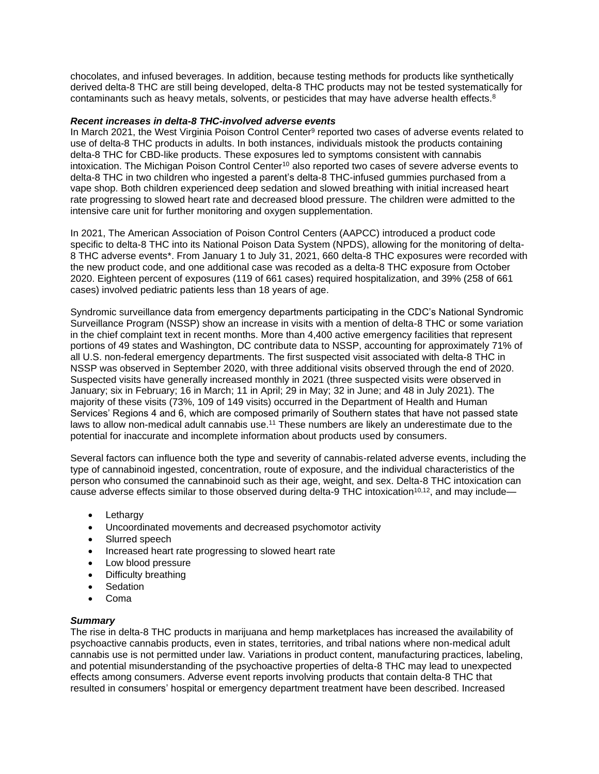chocolates, and infused beverages. In addition, because testing methods for products like synthetically derived delta-8 THC are still being developed, delta-8 THC products may not be tested systematically for contaminants such as heavy metals, solvents, or pesticides that may have adverse health effects. $8$ 

#### *Recent increases in delta-8 THC-involved adverse events*

In March 2021, the West Virginia Poison Control Center<sup>9</sup> reported two cases of adverse events related to use of delta-8 THC products in adults. In both instances, individuals mistook the products containing delta-8 THC for CBD-like products. These exposures led to symptoms consistent with cannabis intoxication. The Michigan Poison Control Center<sup>10</sup> also reported two cases of severe adverse events to delta-8 THC in two children who ingested a parent's delta-8 THC-infused gummies purchased from a vape shop. Both children experienced deep sedation and slowed breathing with initial increased heart rate progressing to slowed heart rate and decreased blood pressure. The children were admitted to the intensive care unit for further monitoring and oxygen supplementation.

In 2021, The American Association of Poison Control Centers (AAPCC) introduced a product code specific to delta-8 THC into its National Poison Data System (NPDS), allowing for the monitoring of delta-8 THC adverse events\*. From January 1 to July 31, 2021, 660 delta-8 THC exposures were recorded with the new product code, and one additional case was recoded as a delta-8 THC exposure from October 2020. Eighteen percent of exposures (119 of 661 cases) required hospitalization, and 39% (258 of 661 cases) involved pediatric patients less than 18 years of age.

Syndromic surveillance data from emergency departments participating in the CDC's National Syndromic Surveillance Program (NSSP) show an increase in visits with a mention of delta-8 THC or some variation in the chief complaint text in recent months. More than 4,400 active emergency facilities that represent portions of 49 states and Washington, DC contribute data to NSSP, accounting for approximately 71% of all U.S. non-federal emergency departments. The first suspected visit associated with delta-8 THC in NSSP was observed in September 2020, with three additional visits observed through the end of 2020. Suspected visits have generally increased monthly in 2021 (three suspected visits were observed in January; six in February; 16 in March; 11 in April; 29 in May; 32 in June; and 48 in July 2021). The majority of these visits (73%, 109 of 149 visits) occurred in the Department of Health and Human Services' Regions 4 and 6, which are composed primarily of Southern states that have not passed state laws to allow non-medical adult cannabis use.<sup>11</sup> These numbers are likely an underestimate due to the potential for inaccurate and incomplete information about products used by consumers.

Several factors can influence both the type and severity of cannabis-related adverse events, including the type of cannabinoid ingested, concentration, route of exposure, and the individual characteristics of the person who consumed the cannabinoid such as their age, weight, and sex. Delta-8 THC intoxication can cause adverse effects similar to those observed during delta-9 THC intoxication<sup>10,12</sup>, and may include—

- Lethargy
- Uncoordinated movements and decreased psychomotor activity
- Slurred speech
- Increased heart rate progressing to slowed heart rate
- Low blood pressure
- Difficulty breathing
- Sedation
- Coma

#### *Summary*

The rise in delta-8 THC products in marijuana and hemp marketplaces has increased the availability of psychoactive cannabis products, even in states, territories, and tribal nations where non-medical adult cannabis use is not permitted under law. Variations in product content, manufacturing practices, labeling, and potential misunderstanding of the psychoactive properties of delta-8 THC may lead to unexpected effects among consumers. Adverse event reports involving products that contain delta-8 THC that resulted in consumers' hospital or emergency department treatment have been described. Increased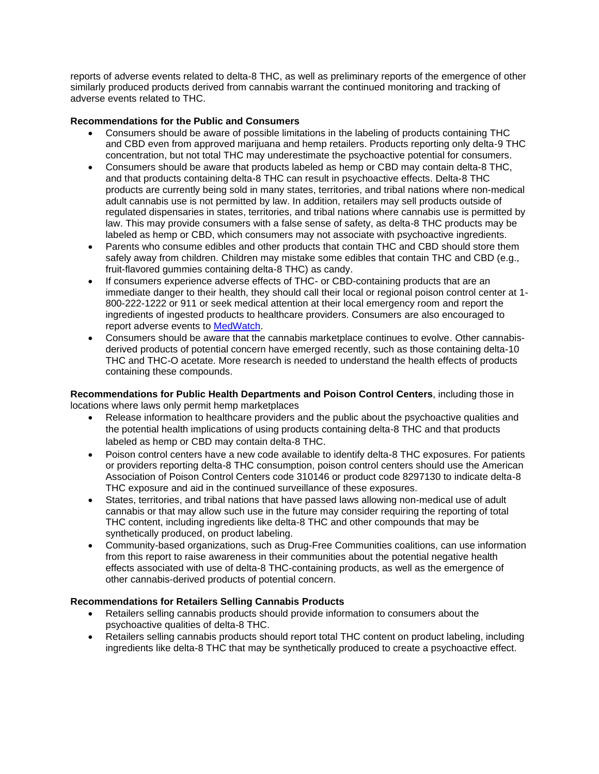reports of adverse events related to delta-8 THC, as well as preliminary reports of the emergence of other similarly produced products derived from cannabis warrant the continued monitoring and tracking of adverse events related to THC.

# **Recommendations for the Public and Consumers**

- Consumers should be aware of possible limitations in the labeling of products containing THC and CBD even from approved marijuana and hemp retailers. Products reporting only delta-9 THC concentration, but not total THC may underestimate the psychoactive potential for consumers.
- Consumers should be aware that products labeled as hemp or CBD may contain delta-8 THC, and that products containing delta-8 THC can result in psychoactive effects. Delta-8 THC products are currently being sold in many states, territories, and tribal nations where non-medical adult cannabis use is not permitted by law. In addition, retailers may sell products outside of regulated dispensaries in states, territories, and tribal nations where cannabis use is permitted by law. This may provide consumers with a false sense of safety, as delta-8 THC products may be labeled as hemp or CBD, which consumers may not associate with psychoactive ingredients.
- Parents who consume edibles and other products that contain THC and CBD should store them safely away from children. Children may mistake some edibles that contain THC and CBD (e.g., fruit-flavored gummies containing delta-8 THC) as candy.
- If consumers experience adverse effects of THC- or CBD-containing products that are an immediate danger to their health, they should call their local or regional poison control center at 1- 800-222-1222 or 911 or seek medical attention at their local emergency room and report the ingredients of ingested products to healthcare providers. Consumers are also encouraged to report adverse events to [MedWatch.](https://www.fda.gov/safety/medwatch-fda-safety-information-and-adverse-event-reporting-program)
- Consumers should be aware that the cannabis marketplace continues to evolve. Other cannabisderived products of potential concern have emerged recently, such as those containing delta-10 THC and THC-O acetate. More research is needed to understand the health effects of products containing these compounds.

**Recommendations for Public Health Departments and Poison Control Centers**, including those in locations where laws only permit hemp marketplaces

- Release information to healthcare providers and the public about the psychoactive qualities and the potential health implications of using products containing delta-8 THC and that products labeled as hemp or CBD may contain delta-8 THC.
- Poison control centers have a new code available to identify delta-8 THC exposures. For patients or providers reporting delta-8 THC consumption, poison control centers should use the American Association of Poison Control Centers code 310146 or product code 8297130 to indicate delta-8 THC exposure and aid in the continued surveillance of these exposures.
- States, territories, and tribal nations that have passed laws allowing non-medical use of adult cannabis or that may allow such use in the future may consider requiring the reporting of total THC content, including ingredients like delta-8 THC and other compounds that may be synthetically produced, on product labeling.
- Community-based organizations, such as Drug-Free Communities coalitions, can use information from this report to raise awareness in their communities about the potential negative health effects associated with use of delta-8 THC-containing products, as well as the emergence of other cannabis-derived products of potential concern.

# **Recommendations for Retailers Selling Cannabis Products**

- Retailers selling cannabis products should provide information to consumers about the psychoactive qualities of delta-8 THC.
- Retailers selling cannabis products should report total THC content on product labeling, including ingredients like delta-8 THC that may be synthetically produced to create a psychoactive effect.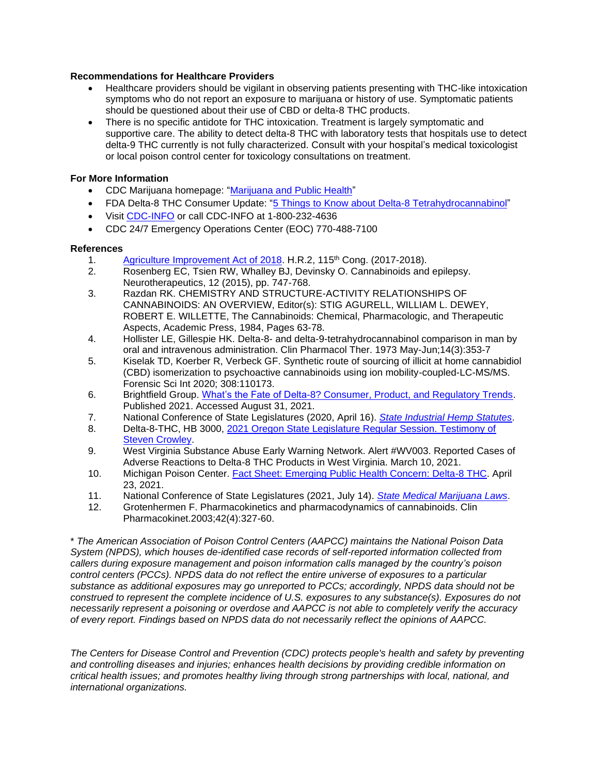#### **Recommendations for Healthcare Providers**

- Healthcare providers should be vigilant in observing patients presenting with THC-like intoxication symptoms who do not report an exposure to marijuana or history of use. Symptomatic patients should be questioned about their use of CBD or delta-8 THC products.
- There is no specific antidote for THC intoxication. Treatment is largely symptomatic and supportive care. The ability to detect delta-8 THC with laboratory tests that hospitals use to detect delta-9 THC currently is not fully characterized. Consult with your hospital's medical toxicologist or local poison control center for toxicology consultations on treatment.

# **For More Information**

- CDC Marijuana homepage: ["Marijuana and Public Health"](https://www.cdc.gov/marijuana/)
- FDA Delta-8 THC Consumer Update: ["5 Things to Know about Delta-8 Tetrahydrocannabinol"](https://www.fda.gov/consumers/consumer-updates/5-things-know-about-delta-8-tetrahydrocannabinol-delta-8-thc)
- Visit [CDC-INFO](https://www.cdc.gov/cdc-info/index.html) or call CDC-INFO at 1-800-232-4636
- CDC 24/7 Emergency Operations Center (EOC) 770-488-7100

## **References**

- 1. [Agriculture Improvement Act of 2018.](https://www.congress.gov/bill/115th-congress/house-bill/2) H.R.2, 115<sup>th</sup> Cong. (2017-2018).
- 2. Rosenberg EC, Tsien RW, Whalley BJ, Devinsky O. Cannabinoids and epilepsy. Neurotherapeutics, 12 (2015), pp. 747-768.
- 3. Razdan RK. CHEMISTRY AND STRUCTURE-ACTIVITY RELATIONSHIPS OF CANNABINOIDS: AN OVERVIEW, Editor(s): STIG AGURELL, WILLIAM L. DEWEY, ROBERT E. WILLETTE, The Cannabinoids: Chemical, Pharmacologic, and Therapeutic Aspects, Academic Press, 1984, Pages 63-78.
- 4. Hollister LE, Gillespie HK. Delta-8- and delta-9-tetrahydrocannabinol comparison in man by oral and intravenous administration. Clin Pharmacol Ther. 1973 May-Jun;14(3):353-7
- 5. Kiselak TD, Koerber R, Verbeck GF. Synthetic route of sourcing of illicit at home cannabidiol (CBD) isomerization to psychoactive cannabinoids using ion mobility-coupled-LC-MS/MS. Forensic Sci Int 2020; 308:110173.
- 6. Brightfield Group. [What's the Fate of Delta-8? Consumer, Product, and Regulatory Trends.](https://content.brightfieldgroup.com/delta-8-report) Published 2021. Accessed August 31, 2021.
- 7. National Conference of State Legislatures (2020, April 16). *[State Industrial Hemp Statutes](https://www.ncsl.org/research/agriculture-and-rural-development/state-industrial-hemp-statutes.aspx)*.
- 8. Delta-8-THC, HB 3000, [2021 Oregon State Legislature Regular Session. Testimony of](https://olis.oregonlegislature.gov/liz/2021R1/Measures/Testimony/HB3000)  [Steven Crowley.](https://olis.oregonlegislature.gov/liz/2021R1/Measures/Testimony/HB3000)
- 9. West Virginia Substance Abuse Early Warning Network. Alert #WV003. Reported Cases of Adverse Reactions to Delta-8 THC Products in West Virginia. March 10, 2021.
- 10. Michigan Poison Center. [Fact Sheet: Emerging Public Health Concern: Delta-8 THC.](https://static1.squarespace.com/static/5f777ef4c9213f4b5800fc9a/t/60832a49de02a46cdbd3a25d/1619208777303/Delta-8+THC+PSA+final.pdf) April 23, 2021.
- 11. National Conference of State Legislatures (2021, July 14). *[State Medical Marijuana Laws](https://www.ncsl.org/research/health/state-medical-marijuana-laws.aspx)*.
- 12. Grotenhermen F. Pharmacokinetics and pharmacodynamics of cannabinoids. Clin Pharmacokinet.2003;42(4):327-60.

\* *The American Association of Poison Control Centers (AAPCC) maintains the National Poison Data System (NPDS), which houses de-identified case records of self-reported information collected from callers during exposure management and poison information calls managed by the country's poison control centers (PCCs). NPDS data do not reflect the entire universe of exposures to a particular substance as additional exposures may go unreported to PCCs; accordingly, NPDS data should not be construed to represent the complete incidence of U.S. exposures to any substance(s). Exposures do not necessarily represent a poisoning or overdose and AAPCC is not able to completely verify the accuracy of every report. Findings based on NPDS data do not necessarily reflect the opinions of AAPCC.*

*The Centers for Disease Control and Prevention (CDC) protects people's health and safety by preventing and controlling diseases and injuries; enhances health decisions by providing credible information on critical health issues; and promotes healthy living through strong partnerships with local, national, and international organizations.*